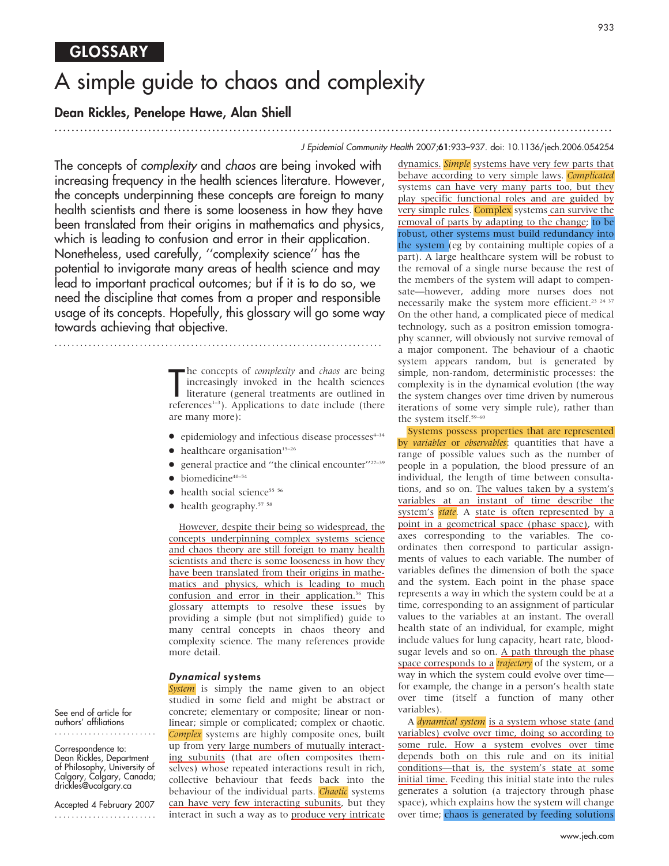# A simple guide to chaos and complexity

............................................................... ............................................................... .....

# Dean Rickles, Penelope Hawe, Alan Shiell

## J Epidemiol Community Health 2007;61:933–937. doi: 10.1136/jech.2006.054254

The concepts of complexity and chaos are being invoked with increasing frequency in the health sciences literature. However, the concepts underpinning these concepts are foreign to many health scientists and there is some looseness in how they have been translated from their origins in mathematics and physics, which is leading to confusion and error in their application. Nonetheless, used carefully, ''complexity science'' has the potential to invigorate many areas of health science and may lead to important practical outcomes; but if it is to do so, we need the discipline that comes from a proper and responsible usage of its concepts. Hopefully, this glossary will go some way towards achieving that objective.

............................................................... ..............

The concepts of *complexity* and *chaos* are being<br>increasingly invoked in the health sciences<br>literature (general treatments are outlined in<br>references<sup>1-3</sup>). Applications to date include (there he concepts of *complexity* and *chaos* are being increasingly invoked in the health sciences literature (general treatments are outlined in are many more):

- $\bullet$  epidemiology and infectious disease processes $4-14$
- $\bullet$  healthcare organisation<sup>15-26</sup>
- general practice and "the clinical encounter"<sup>27-39</sup>
- biomedicine<sup>40–54</sup>
- $\bullet$  health social science<sup>55 56</sup>
- $\bullet$  health geography.<sup>57 58</sup>

However, despite their being so widespread, the concepts underpinning complex systems science and chaos theory are still foreign to many health scientists and there is some looseness in how they have been translated from their origins in mathematics and physics, which is leading to much confusion and error in their application.<sup>36</sup> This glossary attempts to resolve these issues by providing a simple (but not simplified) guide to many central concepts in chaos theory and complexity science. The many references provide more detail.

## Dynamical systems

See end of article for authors' affiliations ........................

Correspondence to: Dean Rickles, Department of Philosophy, University of Calgary, Calgary, Canada; drickles@ucalgary.ca

Accepted 4 February 2007 ........................ System is simply the name given to an object studied in some field and might be abstract or concrete; elementary or composite; linear or nonlinear; simple or complicated; complex or chaotic. Complex systems are highly composite ones, built up from very large numbers of mutually interacting subunits (that are often composites themselves) whose repeated interactions result in rich, collective behaviour that feeds back into the behaviour of the individual parts. *Chaotic* systems can have very few interacting subunits, but they interact in such a way as to produce very intricate

dynamics. **Simple** systems have very few parts that behave according to very simple laws. Complicated systems can have very many parts too, but they play specific functional roles and are guided by very simple rules. Complex systems can survive the removal of parts by adapting to the change; to be robust, other systems must build redundancy into the system (eg by containing multiple copies of a part). A large healthcare system will be robust to the removal of a single nurse because the rest of the members of the system will adapt to compensate—however, adding more nurses does not necessarily make the system more efficient.<sup>23 24 37</sup> On the other hand, a complicated piece of medical technology, such as a positron emission tomography scanner, will obviously not survive removal of a major component. The behaviour of a chaotic system appears random, but is generated by simple, non-random, deterministic processes: the complexity is in the dynamical evolution (the way the system changes over time driven by numerous iterations of some very simple rule), rather than the system itself.<sup>59-60</sup>

Systems possess properties that are represented by variables or observables: quantities that have a range of possible values such as the number of people in a population, the blood pressure of an individual, the length of time between consultations, and so on. The values taken by a system's variables at an instant of time describe the system's *state*. A state is often represented by a point in a geometrical space (phase space), with axes corresponding to the variables. The coordinates then correspond to particular assignments of values to each variable. The number of variables defines the dimension of both the space and the system. Each point in the phase space represents a way in which the system could be at a time, corresponding to an assignment of particular values to the variables at an instant. The overall health state of an individual, for example, might include values for lung capacity, heart rate, bloodsugar levels and so on. A path through the phase space corresponds to a *trajectory* of the system, or a way in which the system could evolve over time for example, the change in a person's health state over time (itself a function of many other variables).

A *dynamical system* is a system whose state (and variables) evolve over time, doing so according to some rule. How a system evolves over time depends both on this rule and on its initial conditions—that is, the system's state at some initial time. Feeding this initial state into the rules generates a solution (a trajectory through phase space), which explains how the system will change over time; chaos is generated by feeding solutions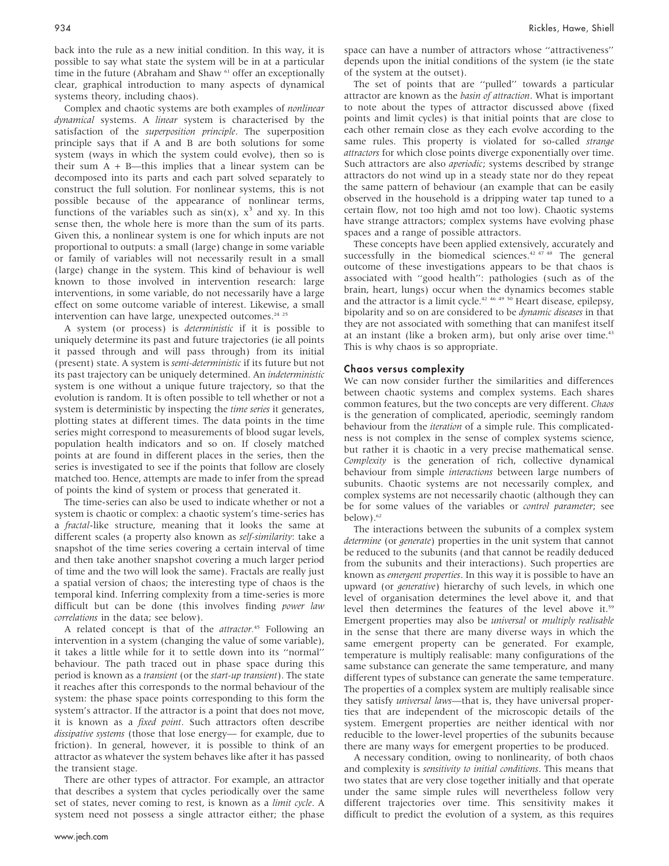back into the rule as a new initial condition. In this way, it is possible to say what state the system will be in at a particular time in the future (Abraham and Shaw <sup>61</sup> offer an exceptionally clear, graphical introduction to many aspects of dynamical systems theory, including chaos).

Complex and chaotic systems are both examples of nonlinear dynamical systems. A linear system is characterised by the satisfaction of the superposition principle. The superposition principle says that if A and B are both solutions for some system (ways in which the system could evolve), then so is their sum  $A + B$ —this implies that a linear system can be decomposed into its parts and each part solved separately to construct the full solution. For nonlinear systems, this is not possible because of the appearance of nonlinear terms, functions of the variables such as  $sin(x)$ ,  $x^3$  and xy. In this sense then, the whole here is more than the sum of its parts. Given this, a nonlinear system is one for which inputs are not proportional to outputs: a small (large) change in some variable or family of variables will not necessarily result in a small (large) change in the system. This kind of behaviour is well known to those involved in intervention research: large interventions, in some variable, do not necessarily have a large effect on some outcome variable of interest. Likewise, a small intervention can have large, unexpected outcomes.<sup>24 25</sup>

A system (or process) is deterministic if it is possible to uniquely determine its past and future trajectories (ie all points it passed through and will pass through) from its initial (present) state. A system is semi-deterministic if its future but not its past trajectory can be uniquely determined. An indeterministic system is one without a unique future trajectory, so that the evolution is random. It is often possible to tell whether or not a system is deterministic by inspecting the time series it generates, plotting states at different times. The data points in the time series might correspond to measurements of blood sugar levels, population health indicators and so on. If closely matched points at are found in different places in the series, then the series is investigated to see if the points that follow are closely matched too. Hence, attempts are made to infer from the spread of points the kind of system or process that generated it.

The time-series can also be used to indicate whether or not a system is chaotic or complex: a chaotic system's time-series has a fractal-like structure, meaning that it looks the same at different scales (a property also known as self-similarity: take a snapshot of the time series covering a certain interval of time and then take another snapshot covering a much larger period of time and the two will look the same). Fractals are really just a spatial version of chaos; the interesting type of chaos is the temporal kind. Inferring complexity from a time-series is more difficult but can be done (this involves finding *power law* correlations in the data; see below).

A related concept is that of the attractor.<sup>45</sup> Following an intervention in a system (changing the value of some variable), it takes a little while for it to settle down into its ''normal'' behaviour. The path traced out in phase space during this period is known as a transient (or the start-up transient). The state it reaches after this corresponds to the normal behaviour of the system: the phase space points corresponding to this form the system's attractor. If the attractor is a point that does not move, it is known as a fixed point. Such attractors often describe dissipative systems (those that lose energy— for example, due to friction). In general, however, it is possible to think of an attractor as whatever the system behaves like after it has passed the transient stage.

There are other types of attractor. For example, an attractor that describes a system that cycles periodically over the same set of states, never coming to rest, is known as a limit cycle. A system need not possess a single attractor either; the phase space can have a number of attractors whose ''attractiveness'' depends upon the initial conditions of the system (ie the state of the system at the outset).

The set of points that are ''pulled'' towards a particular attractor are known as the basin of attraction. What is important to note about the types of attractor discussed above (fixed points and limit cycles) is that initial points that are close to each other remain close as they each evolve according to the same rules. This property is violated for so-called *strange* attractors for which close points diverge exponentially over time. Such attractors are also aperiodic; systems described by strange attractors do not wind up in a steady state nor do they repeat the same pattern of behaviour (an example that can be easily observed in the household is a dripping water tap tuned to a certain flow, not too high amd not too low). Chaotic systems have strange attractors; complex systems have evolving phase spaces and a range of possible attractors.

These concepts have been applied extensively, accurately and successfully in the biomedical sciences.<sup>42 47 48</sup> The general outcome of these investigations appears to be that chaos is associated with ''good health'': pathologies (such as of the brain, heart, lungs) occur when the dynamics becomes stable and the attractor is a limit cycle.<sup>42 46 49 50</sup> Heart disease, epilepsy, bipolarity and so on are considered to be dynamic diseases in that they are not associated with something that can manifest itself at an instant (like a broken arm), but only arise over time.<sup>43</sup> This is why chaos is so appropriate.

## Chaos versus complexity

We can now consider further the similarities and differences between chaotic systems and complex systems. Each shares common features, but the two concepts are very different. Chaos is the generation of complicated, aperiodic, seemingly random behaviour from the iteration of a simple rule. This complicatedness is not complex in the sense of complex systems science, but rather it is chaotic in a very precise mathematical sense. Complexity is the generation of rich, collective dynamical behaviour from simple *interactions* between large numbers of subunits. Chaotic systems are not necessarily complex, and complex systems are not necessarily chaotic (although they can be for some values of the variables or *control parameter*; see below).<sup>62</sup>

The interactions between the subunits of a complex system determine (or generate) properties in the unit system that cannot be reduced to the subunits (and that cannot be readily deduced from the subunits and their interactions). Such properties are known as emergent properties. In this way it is possible to have an upward (or generative) hierarchy of such levels, in which one level of organisation determines the level above it, and that level then determines the features of the level above it.<sup>59</sup> Emergent properties may also be universal or multiply realisable in the sense that there are many diverse ways in which the same emergent property can be generated. For example, temperature is multiply realisable: many configurations of the same substance can generate the same temperature, and many different types of substance can generate the same temperature. The properties of a complex system are multiply realisable since they satisfy *universal laws*—that is, they have universal properties that are independent of the microscopic details of the system. Emergent properties are neither identical with nor reducible to the lower-level properties of the subunits because there are many ways for emergent properties to be produced.

A necessary condition, owing to nonlinearity, of both chaos and complexity is sensitivity to initial conditions. This means that two states that are very close together initially and that operate under the same simple rules will nevertheless follow very different trajectories over time. This sensitivity makes it difficult to predict the evolution of a system, as this requires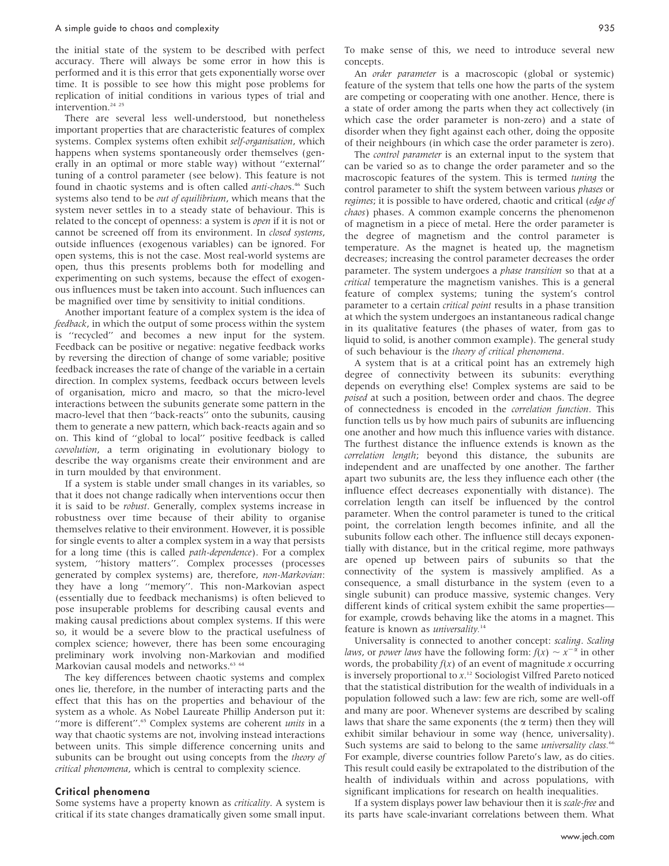the initial state of the system to be described with perfect accuracy. There will always be some error in how this is performed and it is this error that gets exponentially worse over time. It is possible to see how this might pose problems for replication of initial conditions in various types of trial and intervention.<sup>24</sup> <sup>25</sup>

There are several less well-understood, but nonetheless important properties that are characteristic features of complex systems. Complex systems often exhibit self-organisation, which happens when systems spontaneously order themselves (generally in an optimal or more stable way) without ''external'' tuning of a control parameter (see below). This feature is not found in chaotic systems and is often called anti-chaos.<sup>46</sup> Such systems also tend to be out of equilibrium, which means that the system never settles in to a steady state of behaviour. This is related to the concept of openness: a system is open if it is not or cannot be screened off from its environment. In closed systems, outside influences (exogenous variables) can be ignored. For open systems, this is not the case. Most real-world systems are open, thus this presents problems both for modelling and experimenting on such systems, because the effect of exogenous influences must be taken into account. Such influences can be magnified over time by sensitivity to initial conditions.

Another important feature of a complex system is the idea of feedback, in which the output of some process within the system is ''recycled'' and becomes a new input for the system. Feedback can be positive or negative: negative feedback works by reversing the direction of change of some variable; positive feedback increases the rate of change of the variable in a certain direction. In complex systems, feedback occurs between levels of organisation, micro and macro, so that the micro-level interactions between the subunits generate some pattern in the macro-level that then ''back-reacts'' onto the subunits, causing them to generate a new pattern, which back-reacts again and so on. This kind of ''global to local'' positive feedback is called coevolution, a term originating in evolutionary biology to describe the way organisms create their environment and are in turn moulded by that environment.

If a system is stable under small changes in its variables, so that it does not change radically when interventions occur then it is said to be robust. Generally, complex systems increase in robustness over time because of their ability to organise themselves relative to their environment. However, it is possible for single events to alter a complex system in a way that persists for a long time (this is called *path-dependence*). For a complex system, ''history matters''. Complex processes (processes generated by complex systems) are, therefore, non-Markovian: they have a long ''memory''. This non-Markovian aspect (essentially due to feedback mechanisms) is often believed to pose insuperable problems for describing causal events and making causal predictions about complex systems. If this were so, it would be a severe blow to the practical usefulness of complex science; however, there has been some encouraging preliminary work involving non-Markovian and modified Markovian causal models and networks.<sup>63</sup> <sup>64</sup>

The key differences between chaotic systems and complex ones lie, therefore, in the number of interacting parts and the effect that this has on the properties and behaviour of the system as a whole. As Nobel Laureate Phillip Anderson put it: "more is different".<sup>65</sup> Complex systems are coherent *units* in a way that chaotic systems are not, involving instead interactions between units. This simple difference concerning units and subunits can be brought out using concepts from the *theory of* critical phenomena, which is central to complexity science.

# Critical phenomena

Some systems have a property known as criticality. A system is critical if its state changes dramatically given some small input.

An *order parameter* is a macroscopic (global or systemic) feature of the system that tells one how the parts of the system are competing or cooperating with one another. Hence, there is a state of order among the parts when they act collectively (in which case the order parameter is non-zero) and a state of disorder when they fight against each other, doing the opposite of their neighbours (in which case the order parameter is zero).

The *control parameter* is an external input to the system that can be varied so as to change the order parameter and so the macroscopic features of the system. This is termed tuning the control parameter to shift the system between various phases or regimes; it is possible to have ordered, chaotic and critical (edge of chaos) phases. A common example concerns the phenomenon of magnetism in a piece of metal. Here the order parameter is the degree of magnetism and the control parameter is temperature. As the magnet is heated up, the magnetism decreases; increasing the control parameter decreases the order parameter. The system undergoes a phase transition so that at a critical temperature the magnetism vanishes. This is a general feature of complex systems; tuning the system's control parameter to a certain *critical point* results in a phase transition at which the system undergoes an instantaneous radical change in its qualitative features (the phases of water, from gas to liquid to solid, is another common example). The general study of such behaviour is the theory of critical phenomena.

A system that is at a critical point has an extremely high degree of connectivity between its subunits: everything depends on everything else! Complex systems are said to be poised at such a position, between order and chaos. The degree of connectedness is encoded in the correlation function. This function tells us by how much pairs of subunits are influencing one another and how much this influence varies with distance. The furthest distance the influence extends is known as the correlation length; beyond this distance, the subunits are independent and are unaffected by one another. The farther apart two subunits are, the less they influence each other (the influence effect decreases exponentially with distance). The correlation length can itself be influenced by the control parameter. When the control parameter is tuned to the critical point, the correlation length becomes infinite, and all the subunits follow each other. The influence still decays exponentially with distance, but in the critical regime, more pathways are opened up between pairs of subunits so that the connectivity of the system is massively amplified. As a consequence, a small disturbance in the system (even to a single subunit) can produce massive, systemic changes. Very different kinds of critical system exhibit the same properties for example, crowds behaving like the atoms in a magnet. This feature is known as *universality*.<sup>14</sup>

Universality is connected to another concept: scaling. Scaling laws, or power laws have the following form:  $f(x) \sim x^{-\alpha}$  in other words, the probability  $f(x)$  of an event of magnitude x occurring is inversely proportional to x. <sup>12</sup> Sociologist Vilfred Pareto noticed that the statistical distribution for the wealth of individuals in a population followed such a law: few are rich, some are well-off and many are poor. Whenever systems are described by scaling laws that share the same exponents (the  $\alpha$  term) then they will exhibit similar behaviour in some way (hence, universality). Such systems are said to belong to the same *universality class*.<sup>66</sup> For example, diverse countries follow Pareto's law, as do cities. This result could easily be extrapolated to the distribution of the health of individuals within and across populations, with significant implications for research on health inequalities.

If a system displays power law behaviour then it is scale-free and its parts have scale-invariant correlations between them. What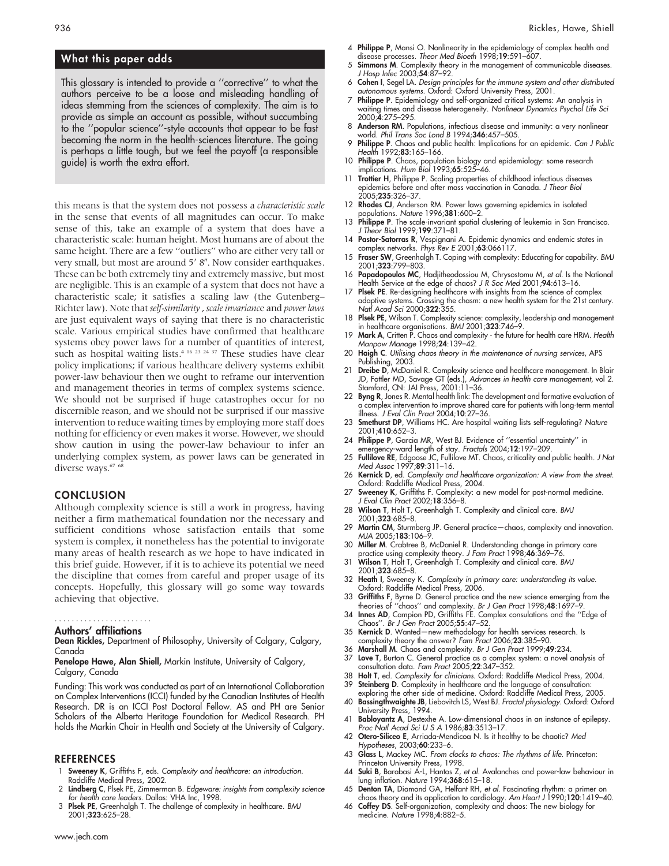# What this paper adds

This glossary is intended to provide a ''corrective'' to what the authors perceive to be a loose and misleading handling of ideas stemming from the sciences of complexity. The aim is to provide as simple an account as possible, without succumbing to the ''popular science''-style accounts that appear to be fast becoming the norm in the health-sciences literature. The going is perhaps a little tough, but we feel the payoff (a responsible guide) is worth the extra effort.

this means is that the system does not possess a characteristic scale in the sense that events of all magnitudes can occur. To make sense of this, take an example of a system that does have a characteristic scale: human height. Most humans are of about the same height. There are a few ''outliers'' who are either very tall or very small, but most are around 5' 8". Now consider earthquakes. These can be both extremely tiny and extremely massive, but most are negligible. This is an example of a system that does not have a characteristic scale; it satisfies a scaling law (the Gutenberg– Richter law). Note that self-similarity , scale invariance and power laws are just equivalent ways of saying that there is no characteristic scale. Various empirical studies have confirmed that healthcare systems obey power laws for a number of quantities of interest, such as hospital waiting lists.<sup>4 16 23 24 37</sup> These studies have clear policy implications; if various healthcare delivery systems exhibit power-law behaviour then we ought to reframe our intervention and management theories in terms of complex systems science. We should not be surprised if huge catastrophes occur for no discernible reason, and we should not be surprised if our massive intervention to reduce waiting times by employing more staff does nothing for efficiency or even makes it worse. However, we should show caution in using the power-law behaviour to infer an underlying complex system, as power laws can be generated in diverse ways.<sup>67 6</sup>

## **CONCLUSION**

Although complexity science is still a work in progress, having neither a firm mathematical foundation nor the necessary and sufficient conditions whose satisfaction entails that some system is complex, it nonetheless has the potential to invigorate many areas of health research as we hope to have indicated in this brief guide. However, if it is to achieve its potential we need the discipline that comes from careful and proper usage of its concepts. Hopefully, this glossary will go some way towards achieving that objective.

## Authors' affiliations .......................

Dean Rickles, Department of Philosophy, University of Calgary, Calgary, Canada

Penelope Hawe, Alan Shiell, Markin Institute, University of Calgary, Calgary, Canada

Funding: This work was conducted as part of an International Collaboration on Complex Interventions (ICCI) funded by the Canadian Institutes of Health Research. DR is an ICCI Post Doctoral Fellow. AS and PH are Senior Scholars of the Alberta Heritage Foundation for Medical Research. PH holds the Markin Chair in Health and Society at the University of Calgary.

#### **REFERENCES**

- Sweeney K, Griffiths F, eds. Complexity and healthcare: an introduction. Radcliffe Medical Press, 2002.
- Lindberg C, Plsek PE, Zimmerman B. Edgeware: insights from complexity science for health care leaders. Dallas: VHA Inc, 1998.
- 3 Plsek PE, Greenhalgh T. The challenge of complexity in healthcare. BMJ 2001;323:625–28.
- 4 Philippe P, Mansi O. Nonlinearity in the epidemiology of complex health and disease processes. Theor Med Bioeth 1998;19:591–607.
- 5 Simmons M. Complexity theory in the management of communicable diseases. J Hosp Infec 2003;54:87–92.
- 6 Cohen I, Segel LA. Design principles for the immune system and other distributed autonomous systems. Oxford: Oxford University Press, 2001.
- 7 Philippe P. Epidemiology and self-organized critical systems: An analysis in waiting times and disease heterogeneity. Nonlinear Dynamics Psychol Life Sci 2000;4:275–295.
- 8 Anderson RM. Populations, infectious disease and immunity: a very nonlinear world. Phil Trans Soc Lond B 1994;346:457–505.
- 9 Philippe P. Chaos and public health: Implications for an epidemic. Can J Public Health 1992;83:165–166.
- 10 Philippe P. Chaos, population biology and epidemiology: some research implications. Hum Biol 1993;65:525–46.
- 11 Trottier H, Philippe P. Scaling properties of childhood infectious diseases epidemics before and after mass vaccination in Canada. J Theor Biol 2005;235:326–37.
- 12 Rhodes CJ, Anderson RM. Power laws governing epidemics in isolated populations. Nature 1996;381:600–2.
- 13 Philippe P. The scale-invariant spatial clustering of leukemia in San Francisco. J Theor Biol 1999;199:371–81.
- 14 Pastor-Satorras R, Vespignani A. Epidemic dynamics and endemic states in complex networks. Phys Rev E 2001;63:066117.
- 15 Fraser SW, Greenhalgh T. Coping with complexity: Educating for capability. BMJ 2001;323:799–803.
- 16 Papadopoulos MC, Hadjitheodossiou M, Chrysostomu M, et al. Is the National Health Service at the edge of chaos? J R Soc Med 2001;94:613–16.
- 17 **Plsek PE**. Re-designing healthcare with insights from the science of complex adaptive systems. Crossing the chasm: a new health system for the 21st century.<br>Natl Acad Sci 2000;**322**:355.
- 18 Plsek PE, Wilson T. Complexity science: complexity, leadership and management in healthcare organisations. BMJ 2001;323:746–9.<br>19 Mark A, Critten P. Chaos and complexity - the future for health care HRM. Health
- 
- Manpow Manage 1998;**24**:139–42.<br>20 **Haigh C**. Utilising chaos theory in the maintenance of nursing services, APS<br>Publishing, 2003.
- 21 Dreibe D, McDaniel R. Complexity science and healthcare management. In Blair JD, Fottler MD, Savage GT (eds.), Advances in health care management, vol 2.<br>Stamford, CN: JAI Press, 2001:11–36.<br>22 **Byng R**, Jones R. Mental health link: The development and formative evaluation of
- a complex intervention to improve shared care for patients with long-term mental<br>illness. *J Eval Clin Pract* 2004;**10**:27–36.
- 23 Smethurst DP, Williams HC. Are hospital waiting lists self-regulating? Nature 2001;410:652–3.
- 24 Philippe P, Garcia MR, West BJ. Evidence of ''essential uncertainty'' in emergency-ward length of stay. Fractals 2004;12:197–209.
- 25 Fullilove RE, Edgoose JC, Fullilove MT. Chaos, criticality and public health. *J Nat* Med Assoc 1997;89:311–16.
- 26 Kernick D, ed. Complexity and healthcare organization: A view from the street. Oxford: Radcliffe Medical Press, 2004.
- 27 Sweeney K, Griffiths F. Complexity: a new model for post-normal medicine. J Eval Clin Pract 2002;18:356–8.
- 28 Wilson T, Holt T, Greenhalgh T. Complexity and clinical care. BMJ 2001;323:685–8.
- 29 Martin CM, Sturmberg JP. General practice—chaos, complexity and innovation. MJA 2005;183:106–9.
- 30 Miller M. Crabtree B, McDaniel R. Understanding change in primary care practice using complexity theory. J Fam Pract 1998;46:369–76.
- 31 Wilson T, Holt T, Greenhalgh T. Complexity and clinical care. BMJ 2001;323:685–8.
- 32 Heath I, Sweeney K. Complexity in primary care: understanding its value. Oxford: Radcliffe Medical Press, 2006.
- 33 Griffiths F, Byrne D. General practice and the new science emerging from the theories of ''chaos'' and complexity. Br J Gen Pract 1998;48:1697
- 34 Innes AD, Campion PD, Griffiths FE. Complex consulations and the ''Edge of Chaos''. Br J Gen Pract 2005;55:47–52.
- 35 Kernick D. Wanted—new methodology for health services research. Is complexity theory the answer? Fam Pract 2006;23:385–90.
- 36 Marshall M. Chaos and complexity. Br J Gen Pract 1999;49:234.<br>37 Love T. Burton C. General practice as a complex system: a novel
- Love T, Burton C. General practice as a complex system: a novel analysis of consultation data. Fam Pract 2005;22:347–352.
- 38 Holt T, ed. Complexity for clinicians. Oxford: Radcliffe Medical Press, 2004.<br>39 Steinberg D. Complexity in healthcare and the language of consultation: Steinberg D. Complexity in healthcare and the language of consultation:
- exploring the other side of medicine. Oxford: Radcliffe Medical Press, 2005.<br>40 Bassingthwaighte JB, Liebovitch LS, West BJ. Fractal physiology. Oxford: Oxford
- University Press, 1994. 41 Babloyantz A, Destexhe A. Low-dimensional chaos in an instance of epilepsy. Proc Natl Acad Sci U S A 1986;83:3513–17.
- 42 Otero-Siliceo E, Arriada-Mendicoa N. Is it healthy to be chaotic? Med Hypotheses, 2003;60:233–6.
- 43 Glass L, Mackey MC. From clocks to chaos: The rhythms of life. Princeton: Princeton University Press, 1998.<br>44 Suki B, Barabasi A-L, Hantos Z, *et al.* Avalanches and power-law behaviour in
- lung inflation. Nature 1994;368:615–18.
- 45 Denton TA, Diamond GA, Helfant RH, et al. Fascinating rhythm: a primer on chaos theory and its application to cardiology. Am Heart J 1990;120:1419-40.
- 46 Coffey DS. Self-organization, complexity and chaos: The new biology for medicine. Nature 1998;4:882–5.